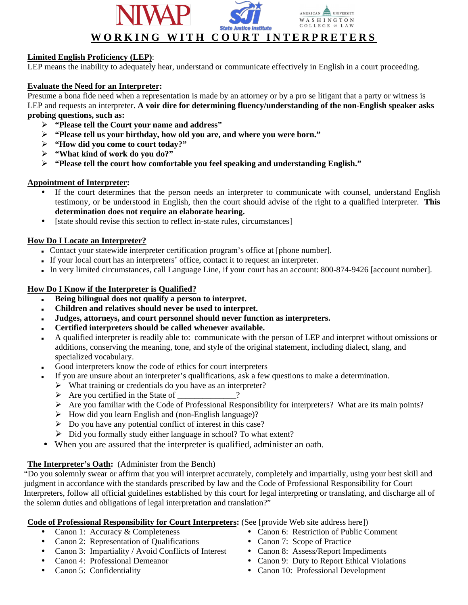

# **Limited English Proficiency (LEP)**:

LEP means the inability to adequately hear, understand or communicate effectively in English in a court proceeding.

# **Evaluate the Need for an Interpreter:**

Presume a bona fide need when a representation is made by an attorney or by a pro se litigant that a party or witness is LEP and requests an interpreter. **A voir dire for determining fluency/understanding of the non-English speaker asks probing questions, such as:** 

- ¾ **"Please tell the Court your name and address"**
- ¾ **"Please tell us your birthday, how old you are, and where you were born."**
- ¾ **"How did you come to court today?"**
- ¾ **"What kind of work do you do?"**
- ¾ **"Please tell the court how comfortable you feel speaking and understanding English."**

#### **Appointment of Interpreter:**

- If the court determines that the person needs an interpreter to communicate with counsel, understand English testimony, or be understood in English, then the court should advise of the right to a qualified interpreter. **This determination does not require an elaborate hearing.**
- [state should revise this section to reflect in-state rules, circumstances]

### **How Do I Locate an Interpreter?**

- Contact your statewide interpreter certification program's office at [phone number].
- If your local court has an interpreters' office, contact it to request an interpreter.
- In very limited circumstances, call Language Line, if your court has an account: 800-874-9426 [account number].

### **How Do I Know if the Interpreter is Qualified?**

- **Being bilingual does not qualify a person to interpret.**
- **Children and relatives should never be used to interpret.**
- **Judges, attorneys, and court personnel should never function as interpreters.**
- **Certified interpreters should be called whenever available.**
- A qualified interpreter is readily able to: communicate with the person of LEP and interpret without omissions or additions, conserving the meaning, tone, and style of the original statement, including dialect, slang, and specialized vocabulary.
- Good interpreters know the code of ethics for court interpreters
	- If you are unsure about an interpreter's qualifications, ask a few questions to make a determination.
	- $\triangleright$  What training or credentials do you have as an interpreter?
	- ¾ Are you certified in the State of \_\_\_\_\_\_\_\_\_\_\_\_\_\_?
	- ¾ Are you familiar with the Code of Professional Responsibility for interpreters? What are its main points?
	- $\triangleright$  How did you learn English and (non-English language)?
	- $\triangleright$  Do you have any potential conflict of interest in this case?
	- $\triangleright$  Did you formally study either language in school? To what extent?
- When you are assured that the interpreter is qualified, administer an oath.

# **The Interpreter's Oath:** (Administer from the Bench)

"Do you solemnly swear or affirm that you will interpret accurately, completely and impartially, using your best skill and judgment in accordance with the standards prescribed by law and the Code of Professional Responsibility for Court Interpreters, follow all official guidelines established by this court for legal interpreting or translating, and discharge all of the solemn duties and obligations of legal interpretation and translation?"

# **Code of Professional Responsibility for Court Interpreters:** (See [provide Web site address here])

- 
- Canon 2: Representation of Qualifications Canon 7: Scope of Practice
- Canon 3: Impartiality / Avoid Conflicts of Interest Canon 8: Assess/Report Impediments
- 
- 
- Canon 1: Accuracy & Completeness Canon 6: Restriction of Public Comment
	-
	-
	- Canon 4: Professional Demeanor Canon 9: Duty to Report Ethical Violations
	- Canon 5: Confidentiality **Canon 10: Professional Development**